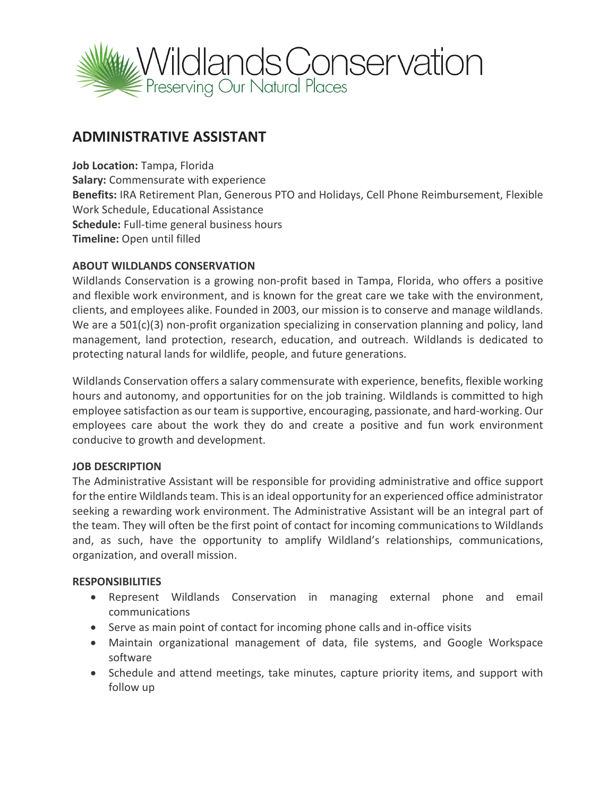

# **ADMINISTRATIVE ASSISTANT**

**Job Location:** Tampa, Florida **Salary:** Commensurate with experience **Benefits:** IRA Retirement Plan, Generous PTO and Holidays, Cell Phone Reimbursement, Flexible Work Schedule, Educational Assistance **Schedule:** Full-time general business hours **Timeline:** Open until filled

## **ABOUT WILDLANDS CONSERVATION**

Wildlands Conservation is a growing non-profit based in Tampa, Florida, who offers a positive and flexible work environment, and is known for the great care we take with the environment, clients, and employees alike. Founded in 2003, our mission is to conserve and manage wildlands. We are a 501(c)(3) non-profit organization specializing in conservation planning and policy, land management, land protection, research, education, and outreach. Wildlands is dedicated to protecting natural lands for wildlife, people, and future generations.

Wildlands Conservation offers a salary commensurate with experience, benefits, flexible working hours and autonomy, and opportunities for on the job training. Wildlands is committed to high employee satisfaction as our team is supportive, encouraging, passionate, and hard-working. Our employees care about the work they do and create a positive and fun work environment conducive to growth and development.

## **JOB DESCRIPTION**

The Administrative Assistant will be responsible for providing administrative and office support for the entire Wildlands team. This is an ideal opportunity for an experienced office administrator seeking a rewarding work environment. The Administrative Assistant will be an integral part of the team. They will often be the first point of contact for incoming communications to Wildlands and, as such, have the opportunity to amplify Wildland's relationships, communications, organization, and overall mission.

## **RESPONSIBILITIES**

- Represent Wildlands Conservation in managing external phone and email communications
- Serve as main point of contact for incoming phone calls and in-office visits
- Maintain organizational management of data, file systems, and Google Workspace software
- Schedule and attend meetings, take minutes, capture priority items, and support with follow up